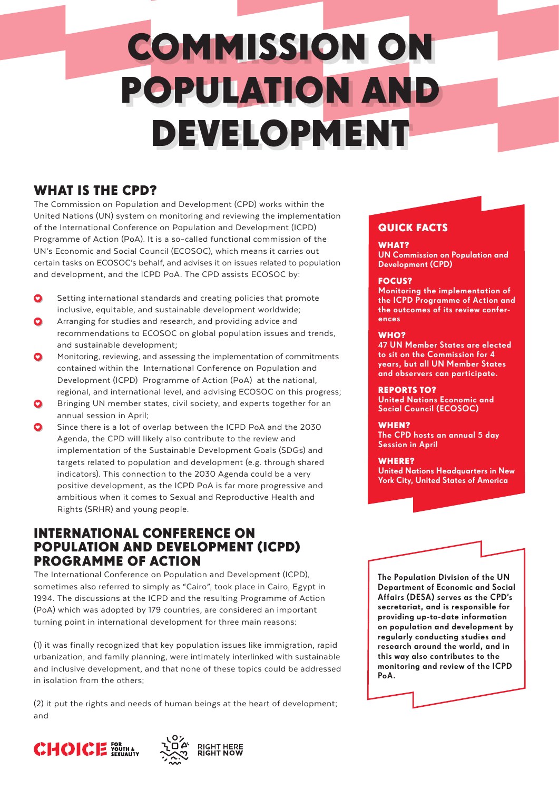# COMMISSION ON POPULATION AND DEVELOPMENT

### WHAT IS THE CPD?

The Commission on Population and Development (CPD) works within the United Nations (UN) system on monitoring and reviewing the implementation of the International Conference on Population and Development (ICPD) Programme of Action (PoA). It is a so-called functional commission of the UN's Economic and Social Council (ECOSOC), which means it carries out certain tasks on ECOSOC's behalf, and advises it on issues related to population and development, and the ICPD PoA. The CPD assists ECOSOC by:

- Setting international standards and creating policies that promote inclusive, equitable, and sustainable development worldwide;
- Arranging for studies and research, and providing advice and recommendations to ECOSOC on global population issues and trends, and sustainable development;
- Monitoring, reviewing, and assessing the implementation of commitments contained within the International Conference on Population and Development (ICPD) Programme of Action (PoA) at the national, regional, and international level, and advising ECOSOC on this progress;
- Bringing UN member states, civil society, and experts together for an annual session in April;
- Since there is a lot of overlap between the ICPD PoA and the 2030 Agenda, the CPD will likely also contribute to the review and implementation of the Sustainable Development Goals (SDGs) and targets related to population and development (e.g. through shared indicators). This connection to the 2030 Agenda could be a very positive development, as the ICPD PoA is far more progressive and ambitious when it comes to Sexual and Reproductive Health and Rights (SRHR) and young people.

### INTERNATIONAL CONFERENCE ON POPULATION AND DEVELOPMENT (ICPD) PROGRAMME OF ACTION

The International Conference on Population and Development (ICPD), sometimes also referred to simply as "Cairo", took place in Cairo, Egypt in 1994. The discussions at the ICPD and the resulting Programme of Action (PoA) which was adopted by 179 countries, are considered an important turning point in international development for three main reasons:

(1) it was finally recognized that key population issues like immigration, rapid urbanization, and family planning, were intimately interlinked with sustainable and inclusive development, and that none of these topics could be addressed in isolation from the others;

(2) it put the rights and needs of human beings at the heart of development; and





### QUICK FACTS

### WHAT?

UN Commission on Population and Development (CPD)

### FOCUS?

Monitoring the implementation of the ICPD Programme of Action and the outcomes of its review conferences

### WHO?

47 UN Member States are elected to sit on the Commission for 4 years, but all UN Member States and observers can participate.

#### REPORTS TO?

United Nations Economic and Social Council (ECOSOC)

### WHEN?

The CPD hosts an annual 5 day Session in April

WHERE? United Nations Headquarters in New York City, United States of America



The Population Division of the UN Department of Economic and Social Affairs (DESA) serves as the CPD's secretariat, and is responsible for providing up-to-date information on population and development by regularly conducting studies and research around the world, and in this way also contributes to the monitoring and review of the ICPD PoA.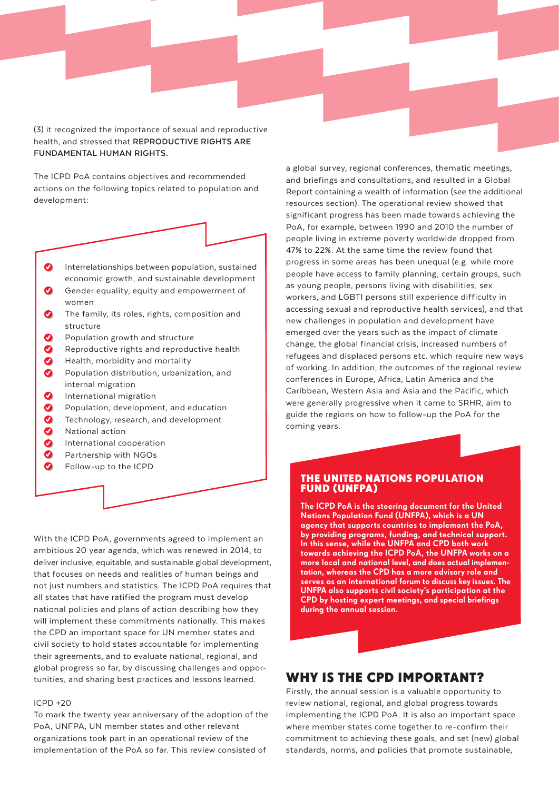(3) it recognized the importance of sexual and reproductive health, and stressed that **REPRODUCTIVE RIGHTS ARE FUNDAMENTAL HUMAN RIGHTS.**

The ICPD PoA contains objectives and recommended actions on the following topics related to population and development:



- economic growth, and sustainable development
- Gender equality, equity and empowerment of women
- $\bullet$ The family, its roles, rights, composition and structure
- $\boldsymbol{\Omega}$ Population growth and structure
- $\bullet$ Reproductive rights and reproductive health
- $\bullet$ Health, morbidity and mortality
- $\bullet$ Population distribution, urbanization, and internal migration
- $\bullet$ International migration
- $\bullet$ Population, development, and education
- $\bullet$ Technology, research, and development
- $\bullet$ National action
- $\boldsymbol{\Omega}$ International cooperation
- $\bullet$ Partnership with NGOs
- $\bullet$ Follow-up to the ICPD

With the ICPD PoA, governments agreed to implement an ambitious 20 year agenda, which was renewed in 2014, to deliver inclusive, equitable, and sustainable global development, that focuses on needs and realities of human beings and not just numbers and statistics. The ICPD PoA requires that all states that have ratified the program must develop national policies and plans of action describing how they will implement these commitments nationally. This makes the CPD an important space for UN member states and civil society to hold states accountable for implementing their agreements, and to evaluate national, regional, and global progress so far, by discussing challenges and opportunities, and sharing best practices and lessons learned.

#### ICPD +20

To mark the twenty year anniversary of the adoption of the PoA, UNFPA, UN member states and other relevant organizations took part in an operational review of the implementation of the PoA so far. This review consisted of

a global survey, regional conferences, thematic meetings, and briefings and consultations, and resulted in a Global Report containing a wealth of information (see the additional resources section). The operational review showed that significant progress has been made towards achieving the PoA, for example, between 1990 and 2010 the number of people living in extreme poverty worldwide dropped from 47% to 22%. At the same time the review found that progress in some areas has been unequal (e.g. while more people have access to family planning, certain groups, such as young people, persons living with disabilities, sex workers, and LGBTI persons still experience difficulty in accessing sexual and reproductive health services), and that new challenges in population and development have emerged over the years such as the impact of climate change, the global financial crisis, increased numbers of refugees and displaced persons etc. which require new ways of working. In addition, the outcomes of the regional review conferences in Europe, Africa, Latin America and the Caribbean, Western Asia and Asia and the Pacific, which were generally progressive when it came to SRHR, aim to guide the regions on how to follow-up the PoA for the coming years.

#### THE UNITED NATIONS POPULATION FUND (UNFPA)

The ICPD PoA is the steering document for the United Nations Population Fund (UNFPA), which is a UN agency that supports countries to implement the PoA, by providing programs, funding, and technical support. In this sense, while the UNFPA and CPD both work towards achieving the ICPD PoA, the UNFPA works on a more local and national level, and does actual implementation, whereas the CPD has a more advisory role and serves as an international forum to discuss key issues. The UNFPA also supports civil society's participation at the CPD by hosting expert meetings, and special briefings during the annual session.

### WHY IS THE CPD IMPORTANT?

Firstly, the annual session is a valuable opportunity to review national, regional, and global progress towards implementing the ICPD PoA. It is also an important space where member states come together to re-confirm their commitment to achieving these goals, and set (new) global standards, norms, and policies that promote sustainable,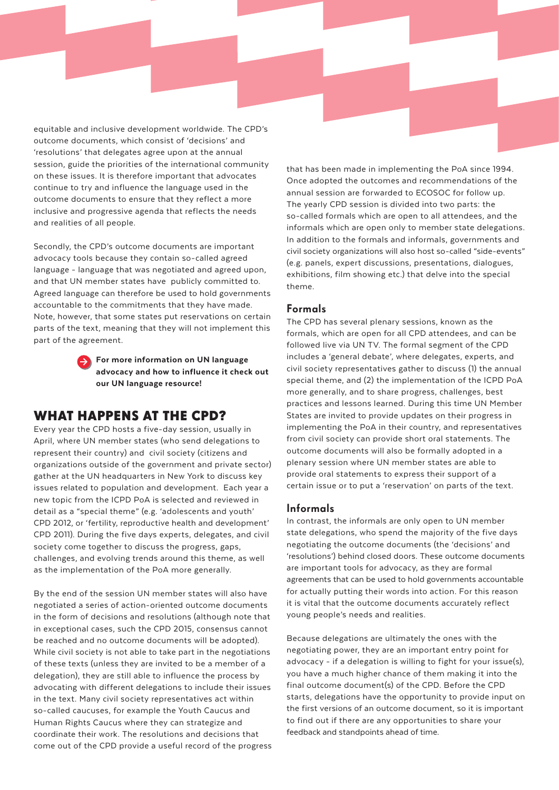equitable and inclusive development worldwide. The CPD's outcome documents, which consist of 'decisions' and 'resolutions' that delegates agree upon at the annual session, guide the priorities of the international community on these issues. It is therefore important that advocates continue to try and influence the language used in the outcome documents to ensure that they reflect a more inclusive and progressive agenda that reflects the needs and realities of all people.

Secondly, the CPD's outcome documents are important advocacy tools because they contain so-called agreed language - language that was negotiated and agreed upon, and that UN member states have publicly committed to. Agreed language can therefore be used to hold governments accountable to the commitments that they have made. Note, however, that some states put reservations on certain parts of the text, meaning that they will not implement this part of the agreement.



For more information on UN language advocacy and how to influence it check out our UN language resource!

### WHAT HAPPENS AT THE CPD?

Every year the CPD hosts a five-day session, usually in April, where UN member states (who send delegations to represent their country) and civil society (citizens and organizations outside of the government and private sector) gather at the UN headquarters in New York to discuss key issues related to population and development. Each year a new topic from the ICPD PoA is selected and reviewed in detail as a "special theme" (e.g. 'adolescents and youth' CPD 2012, or 'fertility, reproductive health and development' CPD 2011). During the five days experts, delegates, and civil society come together to discuss the progress, gaps, challenges, and evolving trends around this theme, as well as the implementation of the PoA more generally.

By the end of the session UN member states will also have negotiated a series of action-oriented outcome documents in the form of decisions and resolutions (although note that in exceptional cases, such the CPD 2015, consensus cannot be reached and no outcome documents will be adopted). While civil society is not able to take part in the negotiations of these texts (unless they are invited to be a member of a delegation), they are still able to influence the process by advocating with different delegations to include their issues in the text. Many civil society representatives act within so-called caucuses, for example the Youth Caucus and Human Rights Caucus where they can strategize and coordinate their work. The resolutions and decisions that come out of the CPD provide a useful record of the progress that has been made in implementing the PoA since 1994. Once adopted the outcomes and recommendations of the annual session are forwarded to ECOSOC for follow up. The yearly CPD session is divided into two parts: the so-called formals which are open to all attendees, and the informals which are open only to member state delegations. In addition to the formals and informals, governments and civil society organizations will also host so-called "side-events" (e.g. panels, expert discussions, presentations, dialogues, exhibitions, film showing etc.) that delve into the special theme.

### Formals

The CPD has several plenary sessions, known as the formals, which are open for all CPD attendees, and can be followed live via UN TV. The formal segment of the CPD includes a 'general debate', where delegates, experts, and civil society representatives gather to discuss (1) the annual special theme, and (2) the implementation of the ICPD PoA more generally, and to share progress, challenges, best practices and lessons learned. During this time UN Member States are invited to provide updates on their progress in implementing the PoA in their country, and representatives from civil society can provide short oral statements. The outcome documents will also be formally adopted in a plenary session where UN member states are able to provide oral statements to express their support of a certain issue or to put a 'reservation' on parts of the text.

### Informals

In contrast, the informals are only open to UN member state delegations, who spend the majority of the five days negotiating the outcome documents (the 'decisions' and 'resolutions') behind closed doors. These outcome documents are important tools for advocacy, as they are formal agreements that can be used to hold governments accountable for actually putting their words into action. For this reason it is vital that the outcome documents accurately reflect young people's needs and realities.

Because delegations are ultimately the ones with the negotiating power, they are an important entry point for advocacy - if a delegation is willing to fight for your issue(s), you have a much higher chance of them making it into the final outcome document(s) of the CPD. Before the CPD starts, delegations have the opportunity to provide input on the first versions of an outcome document, so it is important to find out if there are any opportunities to share your feedback and standpoints ahead of time.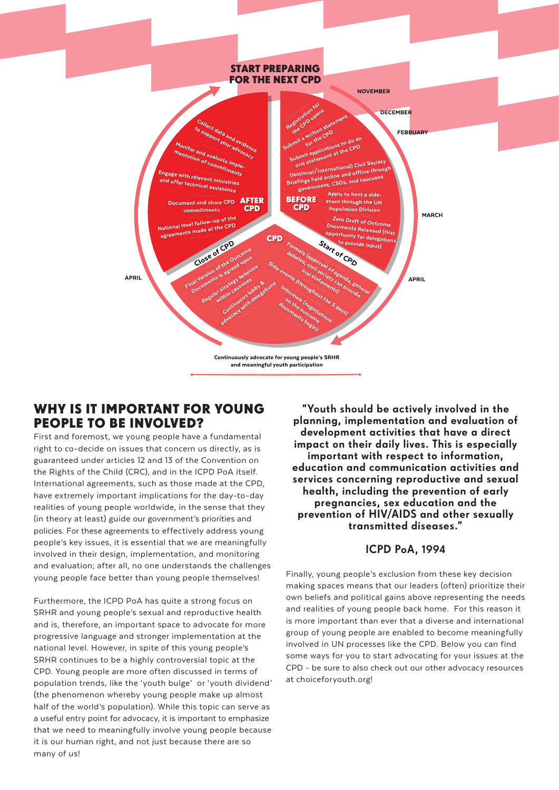

### WHY IS IT IMPORTANT FOR YOUNG PEOPLE TO BE INVOLVED?

First and foremost, we young people have a fundamental right to co-decide on issues that concern us directly, as is guaranteed under articles 12 and 13 of the Convention on the Rights of the Child (CRC), and in the ICPD PoA itself. International agreements, such as those made at the CPD, have extremely important implications for the day-to-day realities of young people worldwide, in the sense that they (in theory at least) guide our government's priorities and policies. For these agreements to effectively address young people's key issues, it is essential that we are meaningfully involved in their design, implementation, and monitoring and evaluation; after all, no one understands the challenges young people face better than young people themselves!

Furthermore, the ICPD PoA has quite a strong focus on SRHR and young people's sexual and reproductive health and is, therefore, an important space to advocate for more progressive language and stronger implementation at the national level. However, in spite of this young people's SRHR continues to be a highly controversial topic at the CPD. Young people are more often discussed in terms of population trends, like the 'youth bulge' or 'youth dividend' (the phenomenon whereby young people make up almost half of the world's population). While this topic can serve as a useful entry point for advocacy, it is important to emphasize that we need to meaningfully involve young people because it is our human right, and not just because there are so many of us!

"Youth should be actively involved in the planning, implementation and evaluation of development activities that have a direct impact on their daily lives. This is especially important with respect to information, education and communication activities and services concerning reproductive and sexual health, including the prevention of early pregnancies, sex education and the prevention of HIV/AIDS and other sexually transmitted diseases."

### ICPD PoA, 1994

Finally, young people's exclusion from these key decision making spaces means that our leaders (often) prioritize their own beliefs and political gains above representing the needs and realities of young people back home. For this reason it is more important than ever that a diverse and international group of young people are enabled to become meaningfully involved in UN processes like the CPD. Below you can find some ways for you to start advocating for your issues at the CPD - be sure to also check out our other advocacy resources at choiceforyouth.org!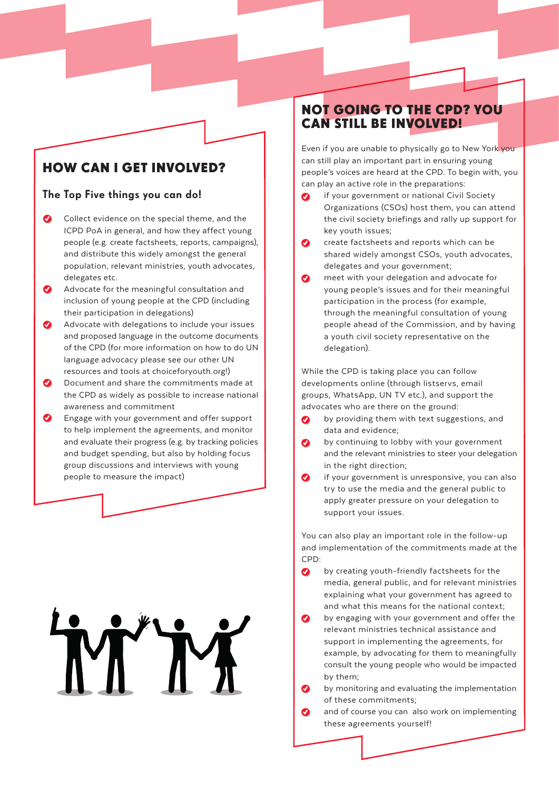## HOW CAN I GET INVOLVED?

### The Top Five things you can do!

- Collect evidence on the special theme, and the ICPD PoA in general, and how they affect young people (e.g. create factsheets, reports, campaigns), and distribute this widely amongst the general population, relevant ministries, youth advocates, delegates etc.
- $\boldsymbol{O}$ Advocate for the meaningful consultation and inclusion of young people at the CPD (including their participation in delegations)
- Advocate with delegations to include your issues and proposed language in the outcome documents of the CPD (for more information on how to do UN language advocacy please see our other UN resources and tools at choiceforyouth.org!)
- Document and share the commitments made at the CPD as widely as possible to increase national awareness and commitment
- $\bullet$ Engage with your government and offer support to help implement the agreements, and monitor and evaluate their progress (e.g. by tracking policies and budget spending, but also by holding focus group discussions and interviews with young people to measure the impact)

### NOT GOING TO THE CPD? YOU CAN STILL BE INVOLVED!

Even if you are unable to physically go to New York you can still play an important part in ensuring young people's voices are heard at the CPD. To begin with, you can play an active role in the preparations:

- if your government or national Civil Society  $\bullet$ Organizations (CSOs) host them, you can attend the civil society briefings and rally up support for key youth issues;
- create factsheets and reports which can be  $\bullet$ shared widely amongst CSOs, youth advocates, delegates and your government;
- $\bullet$ meet with your delegation and advocate for young people's issues and for their meaningful participation in the process (for example, through the meaningful consultation of young people ahead of the Commission, and by having a youth civil society representative on the delegation).

While the CPD is taking place you can follow developments online (through listservs, email groups, WhatsApp, UN TV etc.), and support the advocates who are there on the ground:

- by providing them with text suggestions, and data and evidence;
- by continuing to lobby with your government and the relevant ministries to steer your delegation in the right direction;
- if your government is unresponsive, you can also try to use the media and the general public to apply greater pressure on your delegation to support your issues.

You can also play an important role in the follow-up and implementation of the commitments made at the CPD:

- $\boldsymbol{\Omega}$ by creating youth-friendly factsheets for the media, general public, and for relevant ministries explaining what your government has agreed to and what this means for the national context;
- by engaging with your government and offer the  $\bullet$ relevant ministries technical assistance and support in implementing the agreements, for example, by advocating for them to meaningfully consult the young people who would be impacted by them;
- by monitoring and evaluating the implementation of these commitments;
- $\bullet$ and of course you can also work on implementing these agreements yourself!